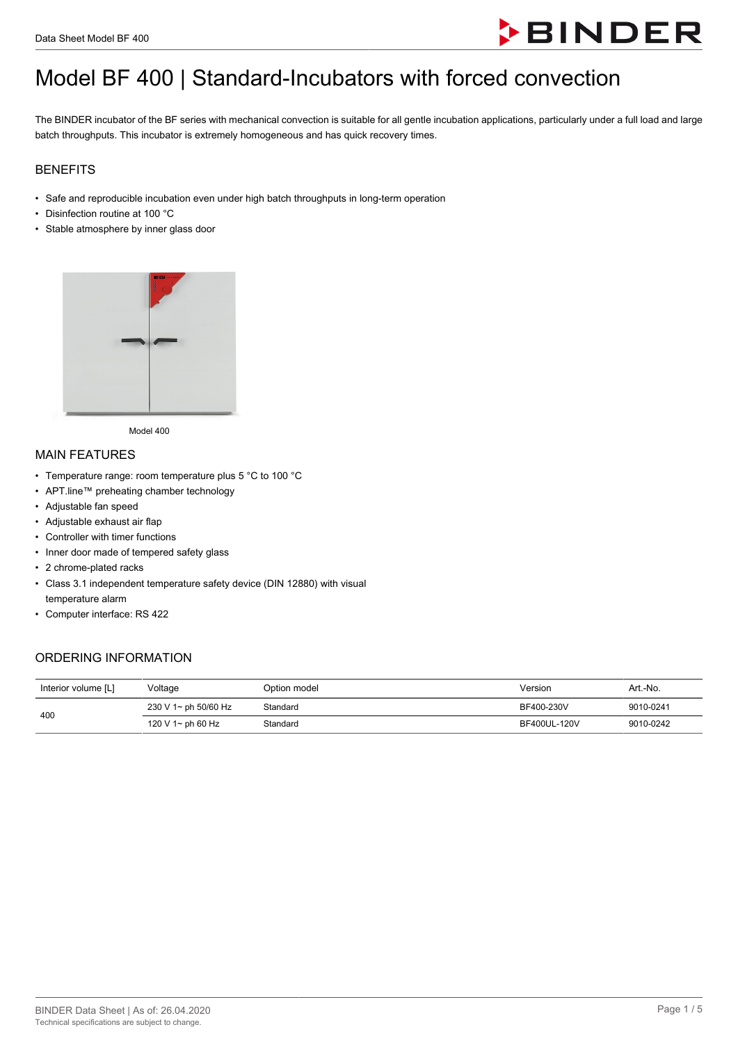

# Model BF 400 | Standard-Incubators with forced convection

The BINDER incubator of the BF series with mechanical convection is suitable for all gentle incubation applications, particularly under a full load and large batch throughputs. This incubator is extremely homogeneous and has quick recovery times.

#### BENEFITS

- Safe and reproducible incubation even under high batch throughputs in long-term operation
- Disinfection routine at 100 °C
- Stable atmosphere by inner glass door



Model 400

#### MAIN FEATURES

- Temperature range: room temperature plus 5 °C to 100 °C
- APT.line™ preheating chamber technology
- Adjustable fan speed
- Adjustable exhaust air flap
- Controller with timer functions
- Inner door made of tempered safety glass
- 2 chrome-plated racks
- Class 3.1 independent temperature safety device (DIN 12880) with visual temperature alarm
- Computer interface: RS 422

### ORDERING INFORMATION

| Interior volume [L] | Voltage              | Option model | Version      | Art.-No.  |
|---------------------|----------------------|--------------|--------------|-----------|
| 400                 | 230 V 1~ ph 50/60 Hz | Standard     | BF400-230V   | 9010-0241 |
|                     | 120 V 1~ ph 60 Hz    | Standard     | BF400UL-120V | 9010-0242 |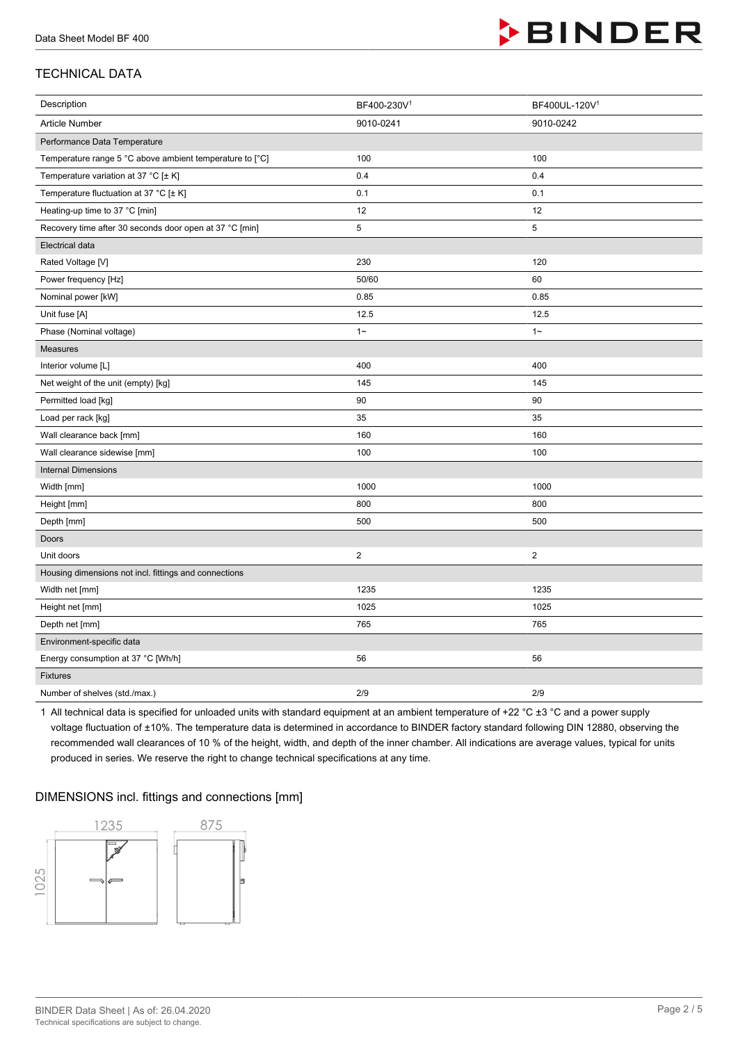

## TECHNICAL DATA

| Description                                              | BF400-230V1    | BF400UL-120V1  |
|----------------------------------------------------------|----------------|----------------|
| Article Number                                           | 9010-0241      | 9010-0242      |
| Performance Data Temperature                             |                |                |
| Temperature range 5 °C above ambient temperature to [°C] | 100            | 100            |
| Temperature variation at 37 °C [± K]                     | 0.4            | 0.4            |
| Temperature fluctuation at 37 °C [± K]                   | 0.1            | 0.1            |
| Heating-up time to 37 °C [min]                           | 12             | 12             |
| Recovery time after 30 seconds door open at 37 °C [min]  | 5              | 5              |
| Electrical data                                          |                |                |
| Rated Voltage [V]                                        | 230            | 120            |
| Power frequency [Hz]                                     | 50/60          | 60             |
| Nominal power [kW]                                       | 0.85           | 0.85           |
| Unit fuse [A]                                            | 12.5           | 12.5           |
| Phase (Nominal voltage)                                  | $1 -$          | $1 -$          |
| <b>Measures</b>                                          |                |                |
| Interior volume [L]                                      | 400            | 400            |
| Net weight of the unit (empty) [kg]                      | 145            | 145            |
| Permitted load [kg]                                      | 90             | 90             |
| Load per rack [kg]                                       | 35             | 35             |
| Wall clearance back [mm]                                 | 160            | 160            |
| Wall clearance sidewise [mm]                             | 100            | 100            |
| <b>Internal Dimensions</b>                               |                |                |
| Width [mm]                                               | 1000           | 1000           |
| Height [mm]                                              | 800            | 800            |
| Depth [mm]                                               | 500            | 500            |
| Doors                                                    |                |                |
| Unit doors                                               | $\overline{c}$ | $\overline{2}$ |
| Housing dimensions not incl. fittings and connections    |                |                |
| Width net [mm]                                           | 1235           | 1235           |
| Height net [mm]                                          | 1025           | 1025           |
| Depth net [mm]                                           | 765            | 765            |
| Environment-specific data                                |                |                |
| Energy consumption at 37 °C [Wh/h]                       | 56             | 56             |
| Fixtures                                                 |                |                |
| Number of shelves (std./max.)                            | 2/9            | 2/9            |

1 All technical data is specified for unloaded units with standard equipment at an ambient temperature of +22 °C ±3 °C and a power supply voltage fluctuation of ±10%. The temperature data is determined in accordance to BINDER factory standard following DIN 12880, observing the recommended wall clearances of 10 % of the height, width, and depth of the inner chamber. All indications are average values, typical for units produced in series. We reserve the right to change technical specifications at any time.

#### DIMENSIONS incl. fittings and connections [mm]

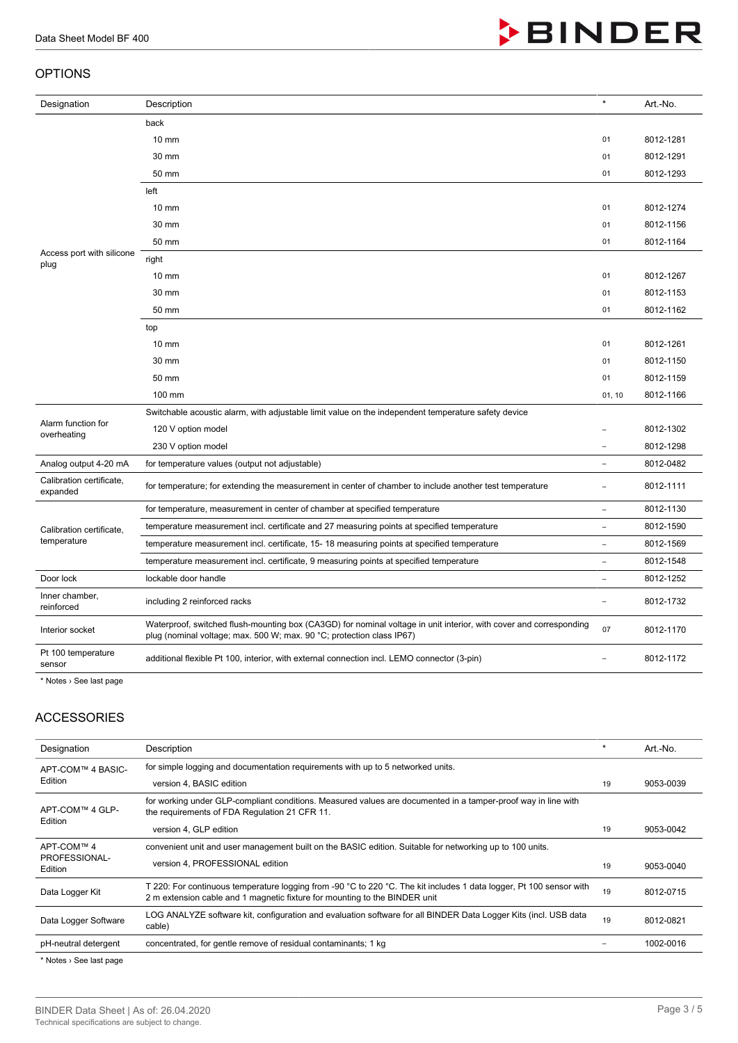#### OPTIONS

| Designation                          | Description                                                                                                                                                                                 | $\pmb{\ast}$             | Art.-No.  |
|--------------------------------------|---------------------------------------------------------------------------------------------------------------------------------------------------------------------------------------------|--------------------------|-----------|
|                                      | back                                                                                                                                                                                        |                          |           |
|                                      | 10 mm                                                                                                                                                                                       | 01                       | 8012-1281 |
|                                      | 30 mm                                                                                                                                                                                       | 01                       | 8012-1291 |
|                                      | 50 mm                                                                                                                                                                                       | 01                       | 8012-1293 |
|                                      | left                                                                                                                                                                                        |                          |           |
|                                      | 10 mm                                                                                                                                                                                       | 01                       | 8012-1274 |
|                                      | 30 mm                                                                                                                                                                                       | 01                       | 8012-1156 |
|                                      | 50 mm                                                                                                                                                                                       | 01                       | 8012-1164 |
| Access port with silicone<br>plug    | right                                                                                                                                                                                       |                          |           |
|                                      | $10 \text{ mm}$                                                                                                                                                                             | 01                       | 8012-1267 |
|                                      | 30 mm                                                                                                                                                                                       | 01                       | 8012-1153 |
|                                      | 50 mm                                                                                                                                                                                       | 01                       | 8012-1162 |
|                                      | top                                                                                                                                                                                         |                          |           |
|                                      | $10 \text{ mm}$                                                                                                                                                                             | 01                       | 8012-1261 |
|                                      | 30 mm                                                                                                                                                                                       | 01                       | 8012-1150 |
|                                      | 50 mm                                                                                                                                                                                       | 01                       | 8012-1159 |
|                                      |                                                                                                                                                                                             |                          |           |
|                                      | 100 mm                                                                                                                                                                                      | 01, 10                   | 8012-1166 |
|                                      | Switchable acoustic alarm, with adjustable limit value on the independent temperature safety device                                                                                         |                          |           |
| Alarm function for                   | 120 V option model                                                                                                                                                                          |                          | 8012-1302 |
| overheating                          | 230 V option model                                                                                                                                                                          |                          | 8012-1298 |
| Analog output 4-20 mA                | for temperature values (output not adjustable)                                                                                                                                              | $\overline{\phantom{a}}$ | 8012-0482 |
| Calibration certificate,<br>expanded | for temperature; for extending the measurement in center of chamber to include another test temperature                                                                                     | $\overline{a}$           | 8012-1111 |
|                                      | for temperature, measurement in center of chamber at specified temperature                                                                                                                  | ÷,                       | 8012-1130 |
| Calibration certificate,             | temperature measurement incl. certificate and 27 measuring points at specified temperature                                                                                                  | $\overline{\phantom{a}}$ | 8012-1590 |
| temperature                          | temperature measurement incl. certificate, 15-18 measuring points at specified temperature                                                                                                  | L                        | 8012-1569 |
|                                      | temperature measurement incl. certificate, 9 measuring points at specified temperature                                                                                                      | $\overline{\phantom{a}}$ | 8012-1548 |
| Door lock                            | lockable door handle                                                                                                                                                                        | L.                       | 8012-1252 |
| Inner chamber,<br>reinforced         | including 2 reinforced racks                                                                                                                                                                | ÷                        | 8012-1732 |
| Interior socket                      | Waterproof, switched flush-mounting box (CA3GD) for nominal voltage in unit interior, with cover and corresponding<br>plug (nominal voltage; max. 500 W; max. 90 °C; protection class IP67) | 07                       | 8012-1170 |

\* Notes › See last page

#### ACCESSORIES

| Designation              | Description                                                                                                                                                                                       | $\star$ | Art.-No.  |
|--------------------------|---------------------------------------------------------------------------------------------------------------------------------------------------------------------------------------------------|---------|-----------|
| APT-COM™ 4 BASIC-        | for simple logging and documentation requirements with up to 5 networked units.                                                                                                                   |         |           |
| Edition                  | version 4, BASIC edition                                                                                                                                                                          | 19      | 9053-0039 |
| APT-COM™ 4 GLP-          | for working under GLP-compliant conditions. Measured values are documented in a tamper-proof way in line with<br>the requirements of FDA Regulation 21 CFR 11.                                    |         |           |
| Edition                  | version 4, GLP edition                                                                                                                                                                            | 19      | 9053-0042 |
| APT-COM™ 4               | convenient unit and user management built on the BASIC edition. Suitable for networking up to 100 units.                                                                                          |         |           |
| PROFESSIONAL-<br>Edition | version 4, PROFESSIONAL edition                                                                                                                                                                   | 19      | 9053-0040 |
| Data Logger Kit          | T 220: For continuous temperature logging from -90 °C to 220 °C. The kit includes 1 data logger, Pt 100 sensor with<br>2 m extension cable and 1 magnetic fixture for mounting to the BINDER unit | 19      | 8012-0715 |
| Data Logger Software     | LOG ANALYZE software kit, configuration and evaluation software for all BINDER Data Logger Kits (incl. USB data<br>cable)                                                                         | 19      | 8012-0821 |
| pH-neutral detergent     | concentrated, for gentle remove of residual contaminants; 1 kg                                                                                                                                    |         | 1002-0016 |

\* Notes › See last page



**BINDER**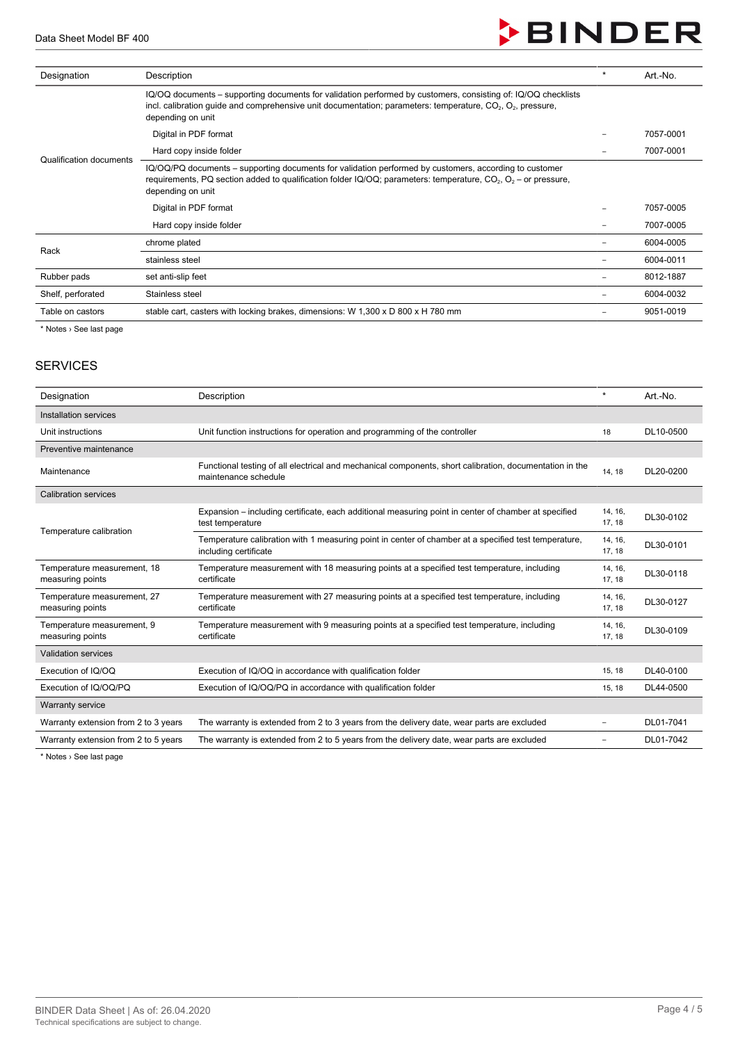Data Sheet Model BF 400

# **BINDER**

| Designation             | Description                                                                                                                                                                                                                                                           | $\ast$ | Art.-No.  |
|-------------------------|-----------------------------------------------------------------------------------------------------------------------------------------------------------------------------------------------------------------------------------------------------------------------|--------|-----------|
|                         | IQ/OQ documents – supporting documents for validation performed by customers, consisting of: IQ/OQ checklists<br>incl. calibration guide and comprehensive unit documentation; parameters: temperature, $CO2$ , $O2$ , pressure,<br>depending on unit                 |        |           |
|                         | Digital in PDF format                                                                                                                                                                                                                                                 |        | 7057-0001 |
| Qualification documents | Hard copy inside folder                                                                                                                                                                                                                                               |        | 7007-0001 |
|                         | IQ/OQ/PQ documents – supporting documents for validation performed by customers, according to customer<br>requirements, PQ section added to qualification folder IQ/OQ; parameters: temperature, CO <sub>2</sub> , O <sub>2</sub> – or pressure,<br>depending on unit |        |           |
|                         | Digital in PDF format                                                                                                                                                                                                                                                 |        | 7057-0005 |
|                         | Hard copy inside folder                                                                                                                                                                                                                                               |        | 7007-0005 |
| Rack                    | chrome plated                                                                                                                                                                                                                                                         |        | 6004-0005 |
|                         | stainless steel                                                                                                                                                                                                                                                       |        | 6004-0011 |
| Rubber pads             | set anti-slip feet                                                                                                                                                                                                                                                    |        | 8012-1887 |
| Shelf, perforated       | Stainless steel                                                                                                                                                                                                                                                       |        | 6004-0032 |
| Table on castors        | stable cart, casters with locking brakes, dimensions: W 1,300 x D 800 x H 780 mm                                                                                                                                                                                      |        | 9051-0019 |
|                         |                                                                                                                                                                                                                                                                       |        |           |

**Notes** > See last page

#### **SERVICES**

| Designation                                     | Description                                                                                                                     | $\star$           | Art.-No.  |
|-------------------------------------------------|---------------------------------------------------------------------------------------------------------------------------------|-------------------|-----------|
| Installation services                           |                                                                                                                                 |                   |           |
| Unit instructions                               | Unit function instructions for operation and programming of the controller                                                      | 18                | DL10-0500 |
| Preventive maintenance                          |                                                                                                                                 |                   |           |
| Maintenance                                     | Functional testing of all electrical and mechanical components, short calibration, documentation in the<br>maintenance schedule | 14, 18            | DL20-0200 |
| <b>Calibration services</b>                     |                                                                                                                                 |                   |           |
|                                                 | Expansion – including certificate, each additional measuring point in center of chamber at specified<br>test temperature        | 14, 16,<br>17, 18 | DL30-0102 |
| Temperature calibration                         | Temperature calibration with 1 measuring point in center of chamber at a specified test temperature,<br>including certificate   | 14, 16,<br>17, 18 | DL30-0101 |
| Temperature measurement, 18<br>measuring points | Temperature measurement with 18 measuring points at a specified test temperature, including<br>certificate                      | 14, 16,<br>17, 18 | DL30-0118 |
| Temperature measurement, 27<br>measuring points | Temperature measurement with 27 measuring points at a specified test temperature, including<br>certificate                      | 14, 16,<br>17, 18 | DL30-0127 |
| Temperature measurement, 9<br>measuring points  | Temperature measurement with 9 measuring points at a specified test temperature, including<br>certificate                       | 14, 16,<br>17, 18 | DL30-0109 |
| <b>Validation services</b>                      |                                                                                                                                 |                   |           |
| Execution of IQ/OQ                              | Execution of IQ/OQ in accordance with qualification folder                                                                      | 15, 18            | DL40-0100 |
| Execution of IQ/OQ/PQ                           | Execution of IQ/OQ/PQ in accordance with qualification folder                                                                   | 15, 18            | DL44-0500 |
| <b>Warranty service</b>                         |                                                                                                                                 |                   |           |
| Warranty extension from 2 to 3 years            | The warranty is extended from 2 to 3 years from the delivery date, wear parts are excluded                                      | -                 | DL01-7041 |
| Warranty extension from 2 to 5 years            | The warranty is extended from 2 to 5 years from the delivery date, wear parts are excluded                                      |                   | DL01-7042 |

\* Notes › See last page